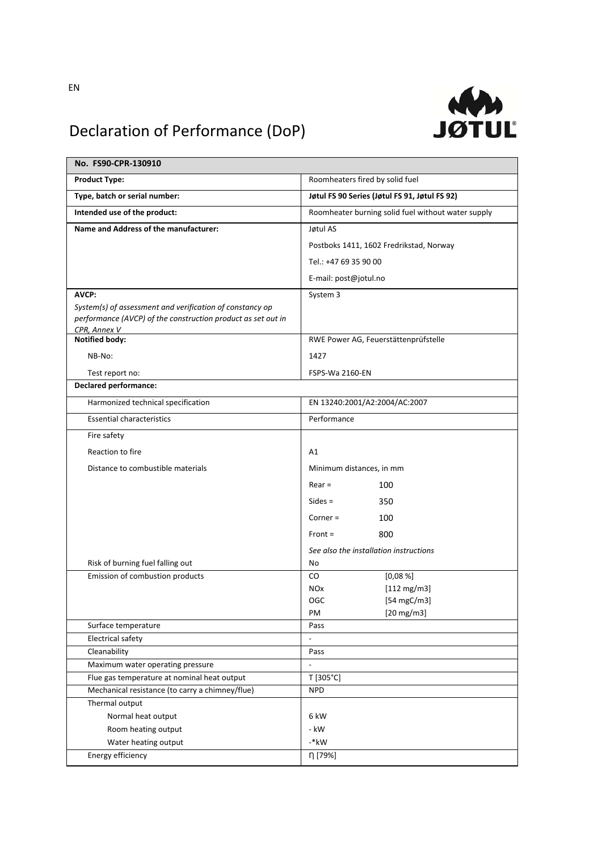

## Declaration of Performance (DoP)

| No. FS90-CPR-130910                                          |                                                    |
|--------------------------------------------------------------|----------------------------------------------------|
| <b>Product Type:</b>                                         | Roomheaters fired by solid fuel                    |
| Type, batch or serial number:                                | Jøtul FS 90 Series (Jøtul FS 91, Jøtul FS 92)      |
| Intended use of the product:                                 | Roomheater burning solid fuel without water supply |
| Name and Address of the manufacturer:                        | Jøtul AS                                           |
|                                                              | Postboks 1411, 1602 Fredrikstad, Norway            |
|                                                              | Tel.: +47 69 35 90 00                              |
|                                                              | E-mail: post@jotul.no                              |
| AVCP:                                                        | System 3                                           |
| System(s) of assessment and verification of constancy op     |                                                    |
| performance (AVCP) of the construction product as set out in |                                                    |
| CPR, Annex V<br><b>Notified body:</b>                        | RWE Power AG, Feuerstättenprüfstelle               |
| NB-No:                                                       | 1427                                               |
| Test report no:                                              | FSPS-Wa 2160-EN                                    |
| <b>Declared performance:</b>                                 |                                                    |
| Harmonized technical specification                           | EN 13240:2001/A2:2004/AC:2007                      |
| <b>Essential characteristics</b>                             | Performance                                        |
| Fire safety                                                  |                                                    |
| Reaction to fire                                             | A1                                                 |
| Distance to combustible materials                            | Minimum distances, in mm                           |
|                                                              | $Rear =$<br>100                                    |
|                                                              | $Sides =$<br>350                                   |
|                                                              | $Corner =$<br>100                                  |
|                                                              | $Front =$<br>800                                   |
|                                                              | See also the installation instructions             |
| Risk of burning fuel falling out                             | No                                                 |
| Emission of combustion products                              | CO<br>[0,08%]                                      |
|                                                              | <b>NOx</b><br>$[112 \text{ mg/m3}]$                |
|                                                              | [54 mgC/m3]<br>OGC                                 |
|                                                              | PM<br>$[20$ mg/m3]                                 |
| Surface temperature                                          | Pass                                               |
| <b>Electrical safety</b>                                     | $\overline{\phantom{a}}$                           |
| Cleanability                                                 | Pass                                               |
| Maximum water operating pressure                             | $\frac{1}{2}$                                      |
| Flue gas temperature at nominal heat output                  | T [305°C]                                          |
| Mechanical resistance (to carry a chimney/flue)              | <b>NPD</b>                                         |
| Thermal output                                               |                                                    |
| Normal heat output                                           | 6 kW                                               |
| Room heating output                                          | - kW                                               |
| Water heating output                                         | $-*$ kW                                            |
| Energy efficiency                                            | η [79%]                                            |